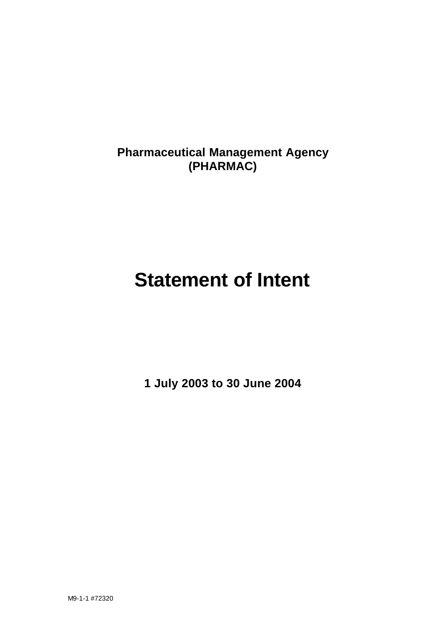**Pharmaceutical Management Agency (PHARMAC)**

# **Statement of Intent**

**1 July 2003 to 30 June 2004**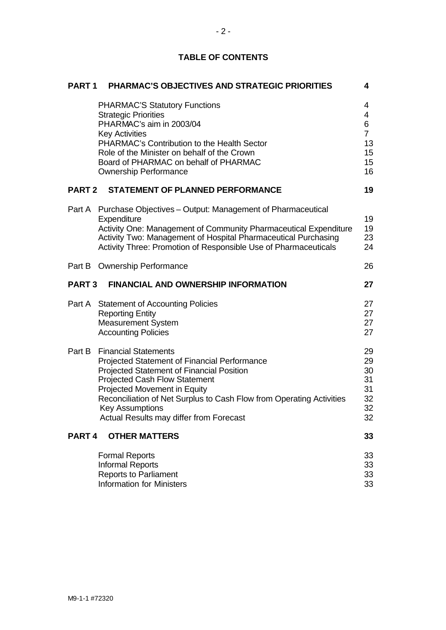| PART <sub>1</sub> | <b>PHARMAC'S OBJECTIVES AND STRATEGIC PRIORITIES</b>                                                                                                                                                                                                                                                                                                        | 4                                                     |
|-------------------|-------------------------------------------------------------------------------------------------------------------------------------------------------------------------------------------------------------------------------------------------------------------------------------------------------------------------------------------------------------|-------------------------------------------------------|
|                   | <b>PHARMAC'S Statutory Functions</b><br><b>Strategic Priorities</b><br>PHARMAC's aim in 2003/04<br><b>Key Activities</b><br>PHARMAC's Contribution to the Health Sector<br>Role of the Minister on behalf of the Crown<br>Board of PHARMAC on behalf of PHARMAC<br><b>Ownership Performance</b>                                                             | 4<br>4<br>6<br>$\overline{7}$<br>13<br>15<br>15<br>16 |
| <b>PART 2</b>     | <b>STATEMENT OF PLANNED PERFORMANCE</b>                                                                                                                                                                                                                                                                                                                     | 19                                                    |
|                   | Part A Purchase Objectives - Output: Management of Pharmaceutical<br>Expenditure<br>Activity One: Management of Community Pharmaceutical Expenditure<br>Activity Two: Management of Hospital Pharmaceutical Purchasing<br>Activity Three: Promotion of Responsible Use of Pharmaceuticals                                                                   | 19<br>19<br>23<br>24                                  |
|                   | Part B Ownership Performance                                                                                                                                                                                                                                                                                                                                | 26                                                    |
| <b>PART 3</b>     | <b>FINANCIAL AND OWNERSHIP INFORMATION</b>                                                                                                                                                                                                                                                                                                                  | 27                                                    |
|                   | Part A Statement of Accounting Policies<br><b>Reporting Entity</b><br><b>Measurement System</b><br><b>Accounting Policies</b>                                                                                                                                                                                                                               | 27<br>27<br>27<br>27                                  |
|                   | <b>Part B</b> Financial Statements<br>Projected Statement of Financial Performance<br><b>Projected Statement of Financial Position</b><br><b>Projected Cash Flow Statement</b><br>Projected Movement in Equity<br>Reconciliation of Net Surplus to Cash Flow from Operating Activities<br><b>Key Assumptions</b><br>Actual Results may differ from Forecast | 29<br>29<br>30<br>31<br>31<br>32<br>32<br>32          |
| PART <sub>4</sub> | <b>OTHER MATTERS</b>                                                                                                                                                                                                                                                                                                                                        | 33                                                    |
|                   | <b>Formal Reports</b><br><b>Informal Reports</b><br><b>Reports to Parliament</b><br><b>Information for Ministers</b>                                                                                                                                                                                                                                        | 33<br>33<br>33<br>33                                  |

**TABLE OF CONTENTS**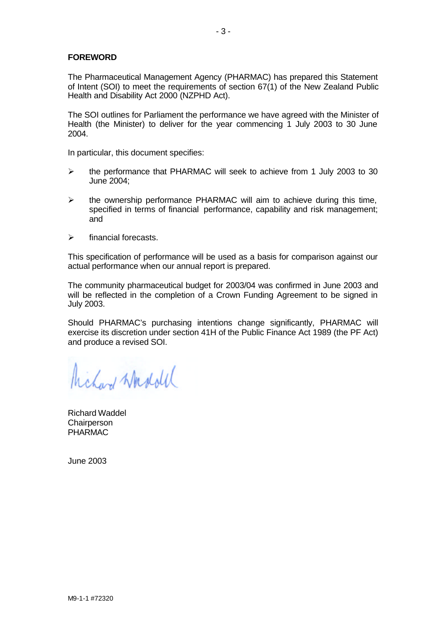# **FOREWORD**

The Pharmaceutical Management Agency (PHARMAC) has prepared this Statement of Intent (SOI) to meet the requirements of section 67(1) of the New Zealand Public Health and Disability Act 2000 (NZPHD Act).

The SOI outlines for Parliament the performance we have agreed with the Minister of Health (the Minister) to deliver for the year commencing 1 July 2003 to 30 June 2004.

In particular, this document specifies:

- $\triangleright$  the performance that PHARMAC will seek to achieve from 1 July 2003 to 30 June 2004;
- $\triangleright$  the ownership performance PHARMAC will aim to achieve during this time, specified in terms of financial performance, capability and risk management; and
- $\triangleright$  financial forecasts.

This specification of performance will be used as a basis for comparison against our actual performance when our annual report is prepared.

The community pharmaceutical budget for 2003/04 was confirmed in June 2003 and will be reflected in the completion of a Crown Funding Agreement to be signed in July 2003.

Should PHARMAC's purchasing intentions change significantly, PHARMAC will exercise its discretion under section 41H of the Public Finance Act 1989 (the PF Act) and produce a revised SOI.

hickory Washold

Richard Waddel **Chairperson** PHARMAC

June 2003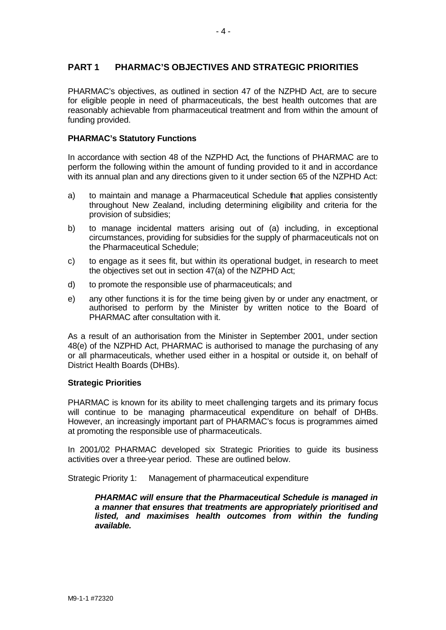# **PART 1 PHARMAC'S OBJECTIVES AND STRATEGIC PRIORITIES**

PHARMAC's objectives, as outlined in section 47 of the NZPHD Act, are to secure for eligible people in need of pharmaceuticals, the best health outcomes that are reasonably achievable from pharmaceutical treatment and from within the amount of funding provided.

#### **PHARMAC's Statutory Functions**

In accordance with section 48 of the NZPHD Act, the functions of PHARMAC are to perform the following within the amount of funding provided to it and in accordance with its annual plan and any directions given to it under section 65 of the NZPHD Act:

- a) to maintain and manage a Pharmaceutical Schedule that applies consistently throughout New Zealand, including determining eligibility and criteria for the provision of subsidies;
- b) to manage incidental matters arising out of (a) including, in exceptional circumstances, providing for subsidies for the supply of pharmaceuticals not on the Pharmaceutical Schedule;
- c) to engage as it sees fit, but within its operational budget, in research to meet the objectives set out in section 47(a) of the NZPHD Act;
- d) to promote the responsible use of pharmaceuticals; and
- e) any other functions it is for the time being given by or under any enactment, or authorised to perform by the Minister by written notice to the Board of PHARMAC after consultation with it.

As a result of an authorisation from the Minister in September 2001, under section 48(e) of the NZPHD Act, PHARMAC is authorised to manage the purchasing of any or all pharmaceuticals, whether used either in a hospital or outside it, on behalf of District Health Boards (DHBs).

#### **Strategic Priorities**

PHARMAC is known for its ability to meet challenging targets and its primary focus will continue to be managing pharmaceutical expenditure on behalf of DHBs. However, an increasingly important part of PHARMAC's focus is programmes aimed at promoting the responsible use of pharmaceuticals.

In 2001/02 PHARMAC developed six Strategic Priorities to guide its business activities over a three-year period. These are outlined below.

Strategic Priority 1: Management of pharmaceutical expenditure

*PHARMAC will ensure that the Pharmaceutical Schedule is managed in a manner that ensures that treatments are appropriately prioritised and listed, and maximises health outcomes from within the funding available.*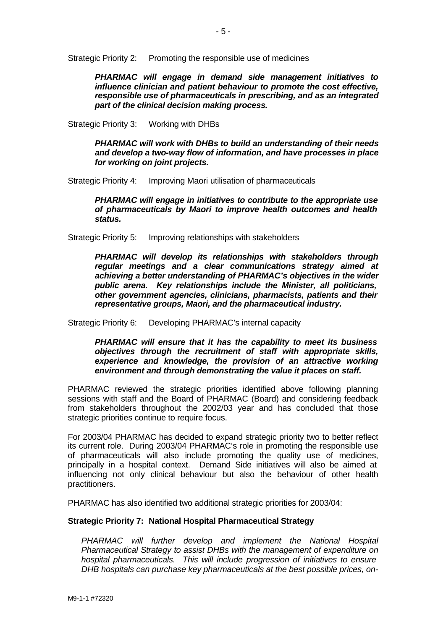Strategic Priority 2: Promoting the responsible use of medicines

*PHARMAC will engage in demand side management initiatives to influence clinician and patient behaviour to promote the cost effective, responsible use of pharmaceuticals in prescribing, and as an integrated part of the clinical decision making process.* 

Strategic Priority 3: Working with DHBs

*PHARMAC will work with DHBs to build an understanding of their needs and develop a two-way flow of information, and have processes in place for working on joint projects.*

Strategic Priority 4: Improving Maori utilisation of pharmaceuticals

*PHARMAC will engage in initiatives to contribute to the appropriate use of pharmaceuticals by Maori to improve health outcomes and health status.*

Strategic Priority 5: Improving relationships with stakeholders

*PHARMAC will develop its relationships with stakeholders through regular meetings and a clear communications strategy aimed at achieving a better understanding of PHARMAC's objectives in the wider public arena. Key relationships include the Minister, all politicians, other government agencies, clinicians, pharmacists, patients and their representative groups, Maori, and the pharmaceutical industry.*

Strategic Priority 6: Developing PHARMAC's internal capacity

*PHARMAC will ensure that it has the capability to meet its business objectives through the recruitment of staff with appropriate skills, experience and knowledge, the provision of an attractive working environment and through demonstrating the value it places on staff.* 

PHARMAC reviewed the strategic priorities identified above following planning sessions with staff and the Board of PHARMAC (Board) and considering feedback from stakeholders throughout the 2002/03 year and has concluded that those strategic priorities continue to require focus.

For 2003/04 PHARMAC has decided to expand strategic priority two to better reflect its current role. During 2003/04 PHARMAC's role in promoting the responsible use of pharmaceuticals will also include promoting the quality use of medicines, principally in a hospital context. Demand Side initiatives will also be aimed at influencing not only clinical behaviour but also the behaviour of other health practitioners.

PHARMAC has also identified two additional strategic priorities for 2003/04:

#### **Strategic Priority 7: National Hospital Pharmaceutical Strategy**

*PHARMAC will further develop and implement the National Hospital Pharmaceutical Strategy to assist DHBs with the management of expenditure on hospital pharmaceuticals. This will include progression of initiatives to ensure DHB hospitals can purchase key pharmaceuticals at the best possible prices, on-*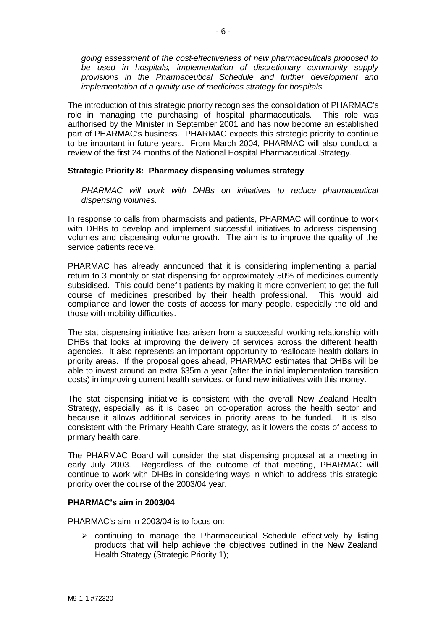*going assessment of the cost-effectiveness of new pharmaceuticals proposed to be used in hospitals, implementation of discretionary community supply provisions in the Pharmaceutical Schedule and further development and implementation of a quality use of medicines strategy for hospitals.* 

The introduction of this strategic priority recognises the consolidation of PHARMAC's role in managing the purchasing of hospital pharmaceuticals. This role was authorised by the Minister in September 2001 and has now become an established part of PHARMAC's business. PHARMAC expects this strategic priority to continue to be important in future years. From March 2004, PHARMAC will also conduct a review of the first 24 months of the National Hospital Pharmaceutical Strategy.

#### **Strategic Priority 8: Pharmacy dispensing volumes strategy**

*PHARMAC will work with DHBs on initiatives to reduce pharmaceutical dispensing volumes.*

In response to calls from pharmacists and patients, PHARMAC will continue to work with DHBs to develop and implement successful initiatives to address dispensing volumes and dispensing volume growth. The aim is to improve the quality of the service patients receive.

PHARMAC has already announced that it is considering implementing a partial return to 3 monthly or stat dispensing for approximately 50% of medicines currently subsidised. This could benefit patients by making it more convenient to get the full course of medicines prescribed by their health professional. This would aid compliance and lower the costs of access for many people, especially the old and those with mobility difficulties.

The stat dispensing initiative has arisen from a successful working relationship with DHBs that looks at improving the delivery of services across the different health agencies. It also represents an important opportunity to reallocate health dollars in priority areas. If the proposal goes ahead, PHARMAC estimates that DHBs will be able to invest around an extra \$35m a year (after the initial implementation transition costs) in improving current health services, or fund new initiatives with this money.

The stat dispensing initiative is consistent with the overall New Zealand Health Strategy, especially as it is based on co-operation across the health sector and because it allows additional services in priority areas to be funded. It is also consistent with the Primary Health Care strategy, as it lowers the costs of access to primary health care.

The PHARMAC Board will consider the stat dispensing proposal at a meeting in early July 2003. Regardless of the outcome of that meeting, PHARMAC will continue to work with DHBs in considering ways in which to address this strategic priority over the course of the 2003/04 year.

#### **PHARMAC's aim in 2003/04**

PHARMAC's aim in 2003/04 is to focus on:

 $\triangleright$  continuing to manage the Pharmaceutical Schedule effectively by listing products that will help achieve the objectives outlined in the New Zealand Health Strategy (Strategic Priority 1);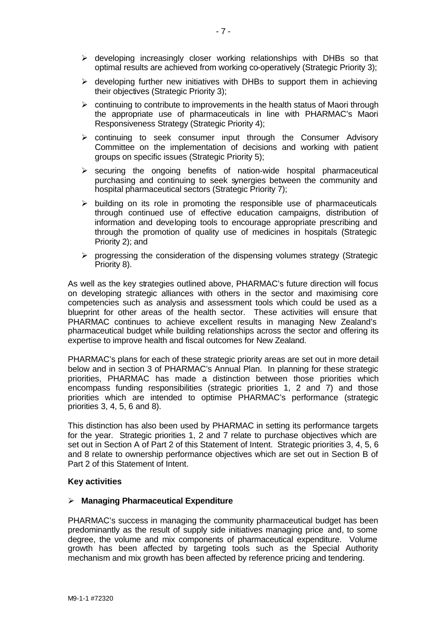- $\triangleright$  developing increasingly closer working relationships with DHBs so that optimal results are achieved from working co-operatively (Strategic Priority 3);
- $\triangleright$  developing further new initiatives with DHBs to support them in achieving their objectives (Strategic Priority 3);
- $\triangleright$  continuing to contribute to improvements in the health status of Maori through the appropriate use of pharmaceuticals in line with PHARMAC's Maori Responsiveness Strategy (Strategic Priority 4);
- $\triangleright$  continuing to seek consumer input through the Consumer Advisory Committee on the implementation of decisions and working with patient groups on specific issues (Strategic Priority 5);
- $\triangleright$  securing the ongoing benefits of nation-wide hospital pharmaceutical purchasing and continuing to seek synergies between the community and hospital pharmaceutical sectors (Strategic Priority 7);
- $\triangleright$  building on its role in promoting the responsible use of pharmaceuticals through continued use of effective education campaigns, distribution of information and developing tools to encourage appropriate prescribing and through the promotion of quality use of medicines in hospitals (Strategic Priority 2); and
- $\triangleright$  progressing the consideration of the dispensing volumes strategy (Strategic Priority 8).

As well as the key strategies outlined above, PHARMAC's future direction will focus on developing strategic alliances with others in the sector and maximising core competencies such as analysis and assessment tools which could be used as a blueprint for other areas of the health sector. These activities will ensure that PHARMAC continues to achieve excellent results in managing New Zealand's pharmaceutical budget while building relationships across the sector and offering its expertise to improve health and fiscal outcomes for New Zealand.

PHARMAC's plans for each of these strategic priority areas are set out in more detail below and in section 3 of PHARMAC's Annual Plan. In planning for these strategic priorities, PHARMAC has made a distinction between those priorities which encompass funding responsibilities (strategic priorities 1, 2 and 7) and those priorities which are intended to optimise PHARMAC's performance (strategic priorities 3, 4, 5, 6 and 8).

This distinction has also been used by PHARMAC in setting its performance targets for the year. Strategic priorities 1, 2 and 7 relate to purchase objectives which are set out in Section A of Part 2 of this Statement of Intent. Strategic priorities 3, 4, 5, 6 and 8 relate to ownership performance objectives which are set out in Section B of Part 2 of this Statement of Intent.

#### **Key activities**

#### ÿ **Managing Pharmaceutical Expenditure**

PHARMAC's success in managing the community pharmaceutical budget has been predominantly as the result of supply side initiatives managing price and, to some degree, the volume and mix components of pharmaceutical expenditure. Volume growth has been affected by targeting tools such as the Special Authority mechanism and mix growth has been affected by reference pricing and tendering.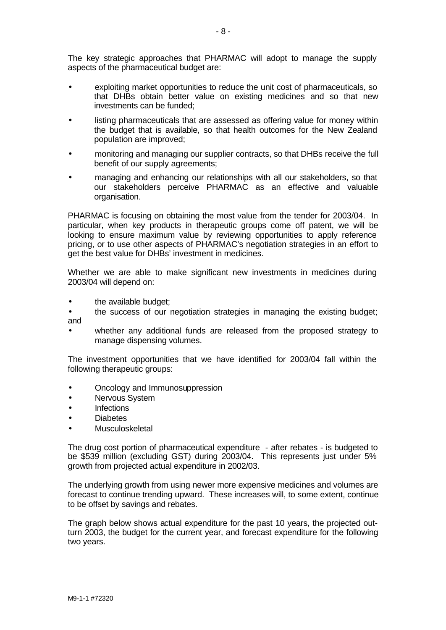The key strategic approaches that PHARMAC will adopt to manage the supply aspects of the pharmaceutical budget are:

- exploiting market opportunities to reduce the unit cost of pharmaceuticals, so that DHBs obtain better value on existing medicines and so that new investments can be funded;
- listing pharmaceuticals that are assessed as offering value for money within the budget that is available, so that health outcomes for the New Zealand population are improved;
- monitoring and managing our supplier contracts, so that DHBs receive the full benefit of our supply agreements;
- managing and enhancing our relationships with all our stakeholders, so that our stakeholders perceive PHARMAC as an effective and valuable organisation.

PHARMAC is focusing on obtaining the most value from the tender for 2003/04. In particular, when key products in therapeutic groups come off patent, we will be looking to ensure maximum value by reviewing opportunities to apply reference pricing, or to use other aspects of PHARMAC's negotiation strategies in an effort to get the best value for DHBs' investment in medicines.

Whether we are able to make significant new investments in medicines during 2003/04 will depend on:

- the available budget;
- the success of our negotiation strategies in managing the existing budget; and
- whether any additional funds are released from the proposed strategy to manage dispensing volumes.

The investment opportunities that we have identified for 2003/04 fall within the following therapeutic groups:

- Oncology and Immunosuppression
- Nervous System
- Infections
- Diabetes
- Musculoskeletal

The drug cost portion of pharmaceutical expenditure - after rebates - is budgeted to be \$539 million (excluding GST) during 2003/04. This represents just under 5% growth from projected actual expenditure in 2002/03.

The underlying growth from using newer more expensive medicines and volumes are forecast to continue trending upward. These increases will, to some extent, continue to be offset by savings and rebates.

The graph below shows actual expenditure for the past 10 years, the projected outturn 2003, the budget for the current year, and forecast expenditure for the following two years.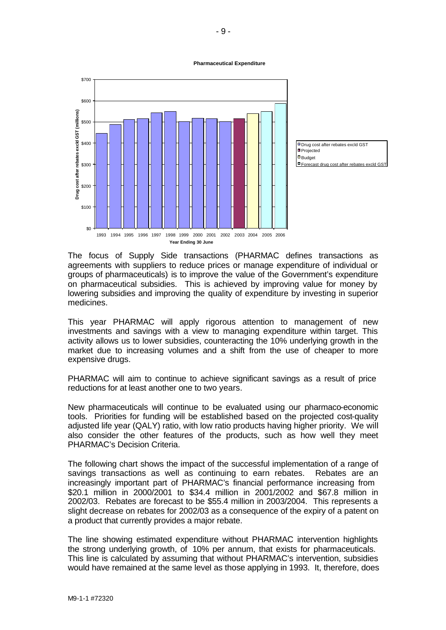#### **Pharmaceutical Expenditure**



The focus of Supply Side transactions (PHARMAC defines transactions as agreements with suppliers to reduce prices or manage expenditure of individual or groups of pharmaceuticals) is to improve the value of the Government's expenditure on pharmaceutical subsidies. This is achieved by improving value for money by lowering subsidies and improving the quality of expenditure by investing in superior medicines.

This year PHARMAC will apply rigorous attention to management of new investments and savings with a view to managing expenditure within target. This activity allows us to lower subsidies, counteracting the 10% underlying growth in the market due to increasing volumes and a shift from the use of cheaper to more expensive drugs.

PHARMAC will aim to continue to achieve significant savings as a result of price reductions for at least another one to two years.

New pharmaceuticals will continue to be evaluated using our pharmaco-economic tools. Priorities for funding will be established based on the projected cost-quality adjusted life year (QALY) ratio, with low ratio products having higher priority. We will also consider the other features of the products, such as how well they meet PHARMAC's Decision Criteria.

The following chart shows the impact of the successful implementation of a range of savings transactions as well as continuing to earn rebates. Rebates are an increasingly important part of PHARMAC's financial performance increasing from \$20.1 million in 2000/2001 to \$34.4 million in 2001/2002 and \$67.8 million in 2002/03. Rebates are forecast to be \$55.4 million in 2003/2004. This represents a slight decrease on rebates for 2002/03 as a consequence of the expiry of a patent on a product that currently provides a major rebate.

The line showing estimated expenditure without PHARMAC intervention highlights the strong underlying growth, of 10% per annum, that exists for pharmaceuticals. This line is calculated by assuming that without PHARMAC's intervention, subsidies would have remained at the same level as those applying in 1993. It, therefore, does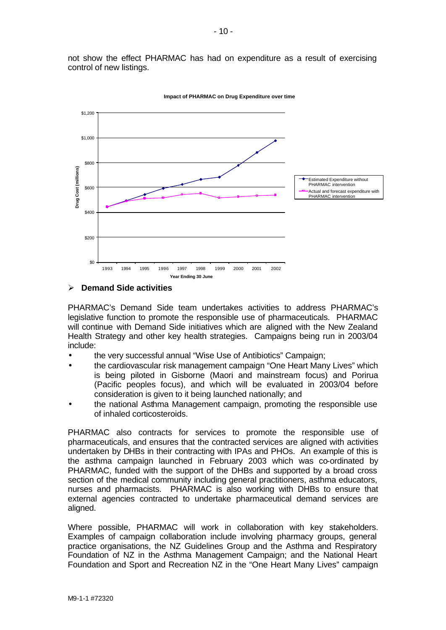not show the effect PHARMAC has had on expenditure as a result of exercising control of new listings.



**Impact of PHARMAC on Drug Expenditure over time**

#### ÿ **Demand Side activities**

PHARMAC's Demand Side team undertakes activities to address PHARMAC's legislative function to promote the responsible use of pharmaceuticals. PHARMAC will continue with Demand Side initiatives which are aligned with the New Zealand Health Strategy and other key health strategies. Campaigns being run in 2003/04 include:

- the very successful annual "Wise Use of Antibiotics" Campaign;
- the cardiovascular risk management campaign "One Heart Many Lives" which is being piloted in Gisborne (Maori and mainstream focus) and Porirua (Pacific peoples focus), and which will be evaluated in 2003/04 before consideration is given to it being launched nationally; and
- the national Asthma Management campaign, promoting the responsible use of inhaled corticosteroids.

PHARMAC also contracts for services to promote the responsible use of pharmaceuticals, and ensures that the contracted services are aligned with activities undertaken by DHBs in their contracting with IPAs and PHOs. An example of this is the asthma campaign launched in February 2003 which was co-ordinated by PHARMAC, funded with the support of the DHBs and supported by a broad cross section of the medical community including general practitioners, asthma educators, nurses and pharmacists. PHARMAC is also working with DHBs to ensure that external agencies contracted to undertake pharmaceutical demand services are aligned.

Where possible, PHARMAC will work in collaboration with key stakeholders. Examples of campaign collaboration include involving pharmacy groups, general practice organisations, the NZ Guidelines Group and the Asthma and Respiratory Foundation of NZ in the Asthma Management Campaign; and the National Heart Foundation and Sport and Recreation NZ in the "One Heart Many Lives" campaign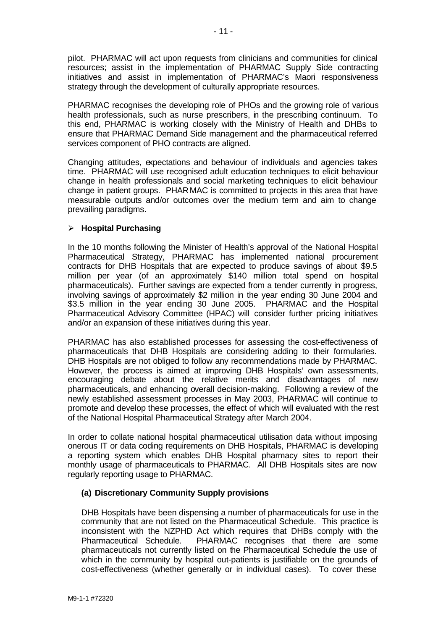pilot. PHARMAC will act upon requests from clinicians and communities for clinical resources; assist in the implementation of PHARMAC Supply Side contracting initiatives and assist in implementation of PHARMAC's Maori responsiveness strategy through the development of culturally appropriate resources.

PHARMAC recognises the developing role of PHOs and the growing role of various health professionals, such as nurse prescribers, in the prescribing continuum. To this end, PHARMAC is working closely with the Ministry of Health and DHBs to ensure that PHARMAC Demand Side management and the pharmaceutical referred services component of PHO contracts are aligned.

Changing attitudes, expectations and behaviour of individuals and agencies takes time. PHARMAC will use recognised adult education techniques to elicit behaviour change in health professionals and social marketing techniques to elicit behaviour change in patient groups. PHARMAC is committed to projects in this area that have measurable outputs and/or outcomes over the medium term and aim to change prevailing paradigms.

# ÿ **Hospital Purchasing**

In the 10 months following the Minister of Health's approval of the National Hospital Pharmaceutical Strategy, PHARMAC has implemented national procurement contracts for DHB Hospitals that are expected to produce savings of about \$9.5 million per year (of an approximately \$140 million total spend on hospital pharmaceuticals). Further savings are expected from a tender currently in progress, involving savings of approximately \$2 million in the year ending 30 June 2004 and \$3.5 million in the year ending 30 June 2005. PHARMAC and the Hospital Pharmaceutical Advisory Committee (HPAC) will consider further pricing initiatives and/or an expansion of these initiatives during this year.

PHARMAC has also established processes for assessing the cost-effectiveness of pharmaceuticals that DHB Hospitals are considering adding to their formularies. DHB Hospitals are not obliged to follow any recommendations made by PHARMAC. However, the process is aimed at improving DHB Hospitals' own assessments, encouraging debate about the relative merits and disadvantages of new pharmaceuticals, and enhancing overall decision-making. Following a review of the newly established assessment processes in May 2003, PHARMAC will continue to promote and develop these processes, the effect of which will evaluated with the rest of the National Hospital Pharmaceutical Strategy after March 2004.

In order to collate national hospital pharmaceutical utilisation data without imposing onerous IT or data coding requirements on DHB Hospitals, PHARMAC is developing a reporting system which enables DHB Hospital pharmacy sites to report their monthly usage of pharmaceuticals to PHARMAC. All DHB Hospitals sites are now regularly reporting usage to PHARMAC.

# **(a) Discretionary Community Supply provisions**

DHB Hospitals have been dispensing a number of pharmaceuticals for use in the community that are not listed on the Pharmaceutical Schedule. This practice is inconsistent with the NZPHD Act which requires that DHBs comply with the Pharmaceutical Schedule. PHARMAC recognises that there are some pharmaceuticals not currently listed on the Pharmaceutical Schedule the use of which in the community by hospital out-patients is justifiable on the grounds of cost-effectiveness (whether generally or in individual cases). To cover these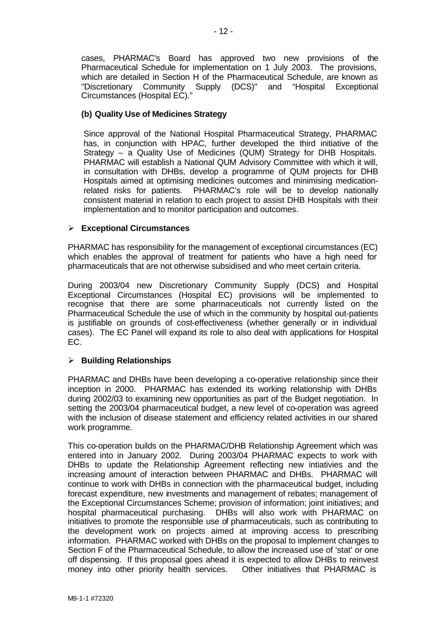cases, PHARMAC's Board has approved two new provisions of the Pharmaceutical Schedule for implementation on 1 July 2003. The provisions, which are detailed in Section H of the Pharmaceutical Schedule, are known as "Discretionary Community Supply (DCS)" and "Hospital Exceptional Circumstances (Hospital EC)."

# **(b) Quality Use of Medicines Strategy**

Since approval of the National Hospital Pharmaceutical Strategy, PHARMAC has, in conjunction with HPAC, further developed the third initiative of the Strategy – a Quality Use of Medicines (QUM) Strategy for DHB Hospitals. PHARMAC will establish a National QUM Advisory Committee with which it will, in consultation with DHBs, develop a programme of QUM projects for DHB Hospitals aimed at optimising medicines outcomes and minimising medicationrelated risks for patients. PHARMAC's role will be to develop nationally consistent material in relation to each project to assist DHB Hospitals with their implementation and to monitor participation and outcomes.

# ÿ **Exceptional Circumstances**

PHARMAC has responsibility for the management of exceptional circumstances (EC) which enables the approval of treatment for patients who have a high need for pharmaceuticals that are not otherwise subsidised and who meet certain criteria.

During 2003/04 new Discretionary Community Supply (DCS) and Hospital Exceptional Circumstances (Hospital EC) provisions will be implemented to recognise that there are some pharmaceuticals not currently listed on the Pharmaceutical Schedule the use of which in the community by hospital out-patients is justifiable on grounds of cost-effectiveness (whether generally or in individual cases). The EC Panel will expand its role to also deal with applications for Hospital EC.

# ÿ **Building Relationships**

PHARMAC and DHBs have been developing a co-operative relationship since their inception in 2000. PHARMAC has extended its working relationship with DHBs during 2002/03 to examining new opportunities as part of the Budget negotiation. In setting the 2003/04 pharmaceutical budget, a new level of co-operation was agreed with the inclusion of disease statement and efficiency related activities in our shared work programme.

This co-operation builds on the PHARMAC/DHB Relationship Agreement which was entered into in January 2002. During 2003/04 PHARMAC expects to work with DHBs to update the Relationship Agreement reflecting new intiativies and the increasing amount of interaction between PHARMAC and DHBs. PHARMAC will continue to work with DHBs in connection with the pharmaceutical budget, including forecast expenditure, new investments and management of rebates; management of the Exceptional Circumstances Scheme; provision of information; joint initiatives; and hospital pharmaceutical purchasing. DHBs will also work with PHARMAC on initiatives to promote the responsible use of pharmaceuticals, such as contributing to the development work on projects aimed at improving access to prescribing information. PHARMAC worked with DHBs on the proposal to implement changes to Section F of the Pharmaceutical Schedule, to allow the increased use of 'stat' or one off dispensing. If this proposal goes ahead it is expected to allow DHBs to reinvest money into other priority health services. Other initiatives that PHARMAC is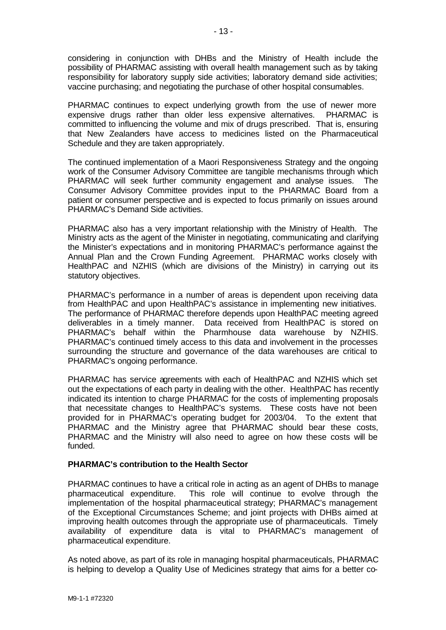considering in conjunction with DHBs and the Ministry of Health include the possibility of PHARMAC assisting with overall health management such as by taking responsibility for laboratory supply side activities; laboratory demand side activities; vaccine purchasing; and negotiating the purchase of other hospital consumables.

PHARMAC continues to expect underlying growth from the use of newer more expensive drugs rather than older less expensive alternatives. PHARMAC is committed to influencing the volume and mix of drugs prescribed. That is, ensuring that New Zealanders have access to medicines listed on the Pharmaceutical Schedule and they are taken appropriately.

The continued implementation of a Maori Responsiveness Strategy and the ongoing work of the Consumer Advisory Committee are tangible mechanisms through which PHARMAC will seek further community engagement and analyse issues. The Consumer Advisory Committee provides input to the PHARMAC Board from a patient or consumer perspective and is expected to focus primarily on issues around PHARMAC's Demand Side activities.

PHARMAC also has a very important relationship with the Ministry of Health. The Ministry acts as the agent of the Minister in negotiating, communicating and clarifying the Minister's expectations and in monitoring PHARMAC's performance against the Annual Plan and the Crown Funding Agreement. PHARMAC works closely with HealthPAC and NZHIS (which are divisions of the Ministry) in carrying out its statutory objectives.

PHARMAC's performance in a number of areas is dependent upon receiving data from HealthPAC and upon HealthPAC's assistance in implementing new initiatives. The performance of PHARMAC therefore depends upon HealthPAC meeting agreed deliverables in a timely manner. Data received from HealthPAC is stored on PHARMAC's behalf within the Pharmhouse data warehouse by NZHIS. PHARMAC's continued timely access to this data and involvement in the processes surrounding the structure and governance of the data warehouses are critical to PHARMAC's ongoing performance.

PHARMAC has service agreements with each of HealthPAC and NZHIS which set out the expectations of each party in dealing with the other. HealthPAC has recently indicated its intention to charge PHARMAC for the costs of implementing proposals that necessitate changes to HealthPAC's systems. These costs have not been provided for in PHARMAC's operating budget for 2003/04. To the extent that PHARMAC and the Ministry agree that PHARMAC should bear these costs, PHARMAC and the Ministry will also need to agree on how these costs will be funded.

# **PHARMAC's contribution to the Health Sector**

PHARMAC continues to have a critical role in acting as an agent of DHBs to manage pharmaceutical expenditure. This role will continue to evolve through the implementation of the hospital pharmaceutical strategy; PHARMAC's management of the Exceptional Circumstances Scheme; and joint projects with DHBs aimed at improving health outcomes through the appropriate use of pharmaceuticals. Timely availability of expenditure data is vital to PHARMAC's management of pharmaceutical expenditure.

As noted above, as part of its role in managing hospital pharmaceuticals, PHARMAC is helping to develop a Quality Use of Medicines strategy that aims for a better co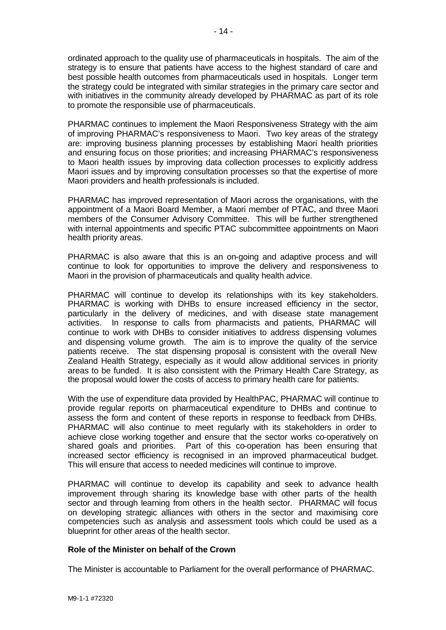ordinated approach to the quality use of pharmaceuticals in hospitals. The aim of the strategy is to ensure that patients have access to the highest standard of care and best possible health outcomes from pharmaceuticals used in hospitals. Longer term the strategy could be integrated with similar strategies in the primary care sector and with initiatives in the community already developed by PHARMAC as part of its role to promote the responsible use of pharmaceuticals.

PHARMAC continues to implement the Maori Responsiveness Strategy with the aim of improving PHARMAC's responsiveness to Maori. Two key areas of the strategy are: improving business planning processes by establishing Maori health priorities and ensuring focus on those priorities; and increasing PHARMAC's responsiveness to Maori health issues by improving data collection processes to explicitly address Maori issues and by improving consultation processes so that the expertise of more Maori providers and health professionals is included.

PHARMAC has improved representation of Maori across the organisations, with the appointment of a Maori Board Member, a Maori member of PTAC, and three Maori members of the Consumer Advisory Committee. This will be further strengthened with internal appointments and specific PTAC subcommittee appointments on Maori health priority areas.

PHARMAC is also aware that this is an on-going and adaptive process and will continue to look for opportunities to improve the delivery and responsiveness to Maori in the provision of pharmaceuticals and quality health advice.

PHARMAC will continue to develop its relationships with its key stakeholders. PHARMAC is working with DHBs to ensure increased efficiency in the sector, particularly in the delivery of medicines, and with disease state management activities. In response to calls from pharmacists and patients, PHARMAC will continue to work with DHBs to consider initiatives to address dispensing volumes and dispensing volume growth. The aim is to improve the quality of the service patients receive. The stat dispensing proposal is consistent with the overall New Zealand Health Strategy, especially as it would allow additional services in priority areas to be funded. It is also consistent with the Primary Health Care Strategy, as the proposal would lower the costs of access to primary health care for patients.

With the use of expenditure data provided by HealthPAC, PHARMAC will continue to provide regular reports on pharmaceutical expenditure to DHBs and continue to assess the form and content of these reports in response to feedback from DHBs. PHARMAC will also continue to meet regularly with its stakeholders in order to achieve close working together and ensure that the sector works co-operatively on shared goals and priorities. Part of this co-operation has been ensuring that increased sector efficiency is recognised in an improved pharmaceutical budget. This will ensure that access to needed medicines will continue to improve.

PHARMAC will continue to develop its capability and seek to advance health improvement through sharing its knowledge base with other parts of the health sector and through learning from others in the health sector. PHARMAC will focus on developing strategic alliances with others in the sector and maximising core competencies such as analysis and assessment tools which could be used as a blueprint for other areas of the health sector.

# **Role of the Minister on behalf of the Crown**

The Minister is accountable to Parliament for the overall performance of PHARMAC.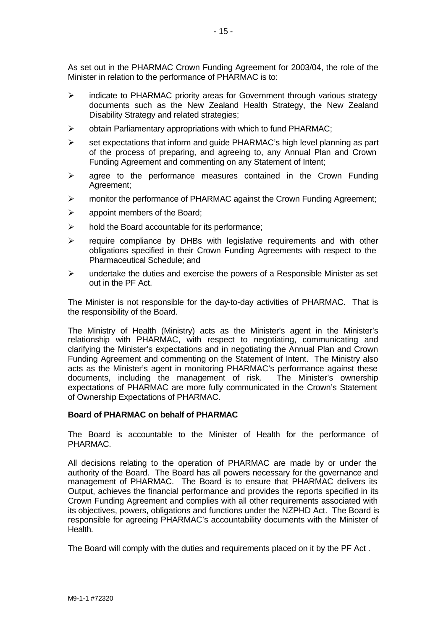As set out in the PHARMAC Crown Funding Agreement for 2003/04, the role of the Minister in relation to the performance of PHARMAC is to:

- $\triangleright$  indicate to PHARMAC priority areas for Government through various strategy documents such as the New Zealand Health Strategy, the New Zealand Disability Strategy and related strategies;
- $\triangleright$  obtain Parliamentary appropriations with which to fund PHARMAC;
- $\triangleright$  set expectations that inform and guide PHARMAC's high level planning as part of the process of preparing, and agreeing to, any Annual Plan and Crown Funding Agreement and commenting on any Statement of Intent;
- $\triangleright$  agree to the performance measures contained in the Crown Funding Agreement;
- $\triangleright$  monitor the performance of PHARMAC against the Crown Funding Agreement;
- $\triangleright$  appoint members of the Board;
- $\triangleright$  hold the Board accountable for its performance;
- $\triangleright$  require compliance by DHBs with legislative requirements and with other obligations specified in their Crown Funding Agreements with respect to the Pharmaceutical Schedule; and
- $\triangleright$  undertake the duties and exercise the powers of a Responsible Minister as set out in the PF Act.

The Minister is not responsible for the day-to-day activities of PHARMAC. That is the responsibility of the Board.

The Ministry of Health (Ministry) acts as the Minister's agent in the Minister's relationship with PHARMAC, with respect to negotiating, communicating and clarifying the Minister's expectations and in negotiating the Annual Plan and Crown Funding Agreement and commenting on the Statement of Intent. The Ministry also acts as the Minister's agent in monitoring PHARMAC's performance against these documents, including the management of risk. The Minister's ownership expectations of PHARMAC are more fully communicated in the Crown's Statement of Ownership Expectations of PHARMAC.

#### **Board of PHARMAC on behalf of PHARMAC**

The Board is accountable to the Minister of Health for the performance of PHARMAC.

All decisions relating to the operation of PHARMAC are made by or under the authority of the Board. The Board has all powers necessary for the governance and management of PHARMAC. The Board is to ensure that PHARMAC delivers its Output, achieves the financial performance and provides the reports specified in its Crown Funding Agreement and complies with all other requirements associated with its objectives, powers, obligations and functions under the NZPHD Act. The Board is responsible for agreeing PHARMAC's accountability documents with the Minister of Health.

The Board will comply with the duties and requirements placed on it by the PF Act .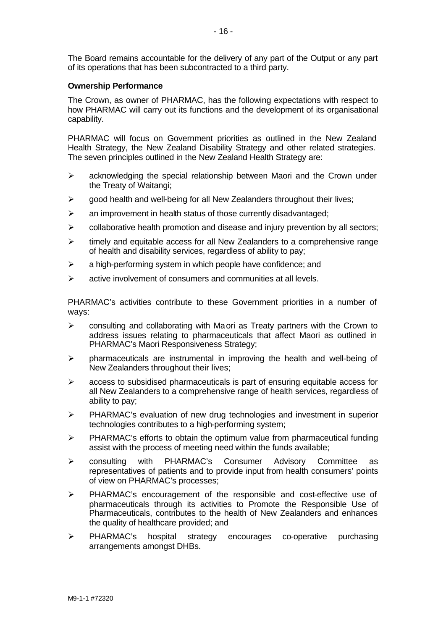The Board remains accountable for the delivery of any part of the Output or any part of its operations that has been subcontracted to a third party.

#### **Ownership Performance**

The Crown, as owner of PHARMAC, has the following expectations with respect to how PHARMAC will carry out its functions and the development of its organisational capability.

PHARMAC will focus on Government priorities as outlined in the New Zealand Health Strategy, the New Zealand Disability Strategy and other related strategies. The seven principles outlined in the New Zealand Health Strategy are:

- $\triangleright$  acknowledging the special relationship between Maori and the Crown under the Treaty of Waitangi;
- $\triangleright$  good health and well-being for all New Zealanders throughout their lives;
- $\geq$  an improvement in health status of those currently disadvantaged;
- $\triangleright$  collaborative health promotion and disease and injury prevention by all sectors;
- $\triangleright$  timely and equitable access for all New Zealanders to a comprehensive range of health and disability services, regardless of ability to pay;
- $\triangleright$  a high-performing system in which people have confidence; and
- $\triangleright$  active involvement of consumers and communities at all levels.

PHARMAC's activities contribute to these Government priorities in a number of ways:

- $\triangleright$  consulting and collaborating with Maori as Treaty partners with the Crown to address issues relating to pharmaceuticals that affect Maori as outlined in PHARMAC's Maori Responsiveness Strategy;
- $\triangleright$  pharmaceuticals are instrumental in improving the health and well-being of New Zealanders throughout their lives;
- $\geq$  access to subsidised pharmaceuticals is part of ensuring equitable access for all New Zealanders to a comprehensive range of health services, regardless of ability to pay;
- $\triangleright$  PHARMAC's evaluation of new drug technologies and investment in superior technologies contributes to a high-performing system;
- $\triangleright$  PHARMAC's efforts to obtain the optimum value from pharmaceutical funding assist with the process of meeting need within the funds available;
- $\triangleright$  consulting with PHARMAC's Consumer Advisory Committee as representatives of patients and to provide input from health consumers' points of view on PHARMAC's processes;
- > PHARMAC's encouragement of the responsible and cost-effective use of pharmaceuticals through its activities to Promote the Responsible Use of Pharmaceuticals, contributes to the health of New Zealanders and enhances the quality of healthcare provided; and
- > PHARMAC's hospital strategy encourages co-operative purchasing arrangements amongst DHBs.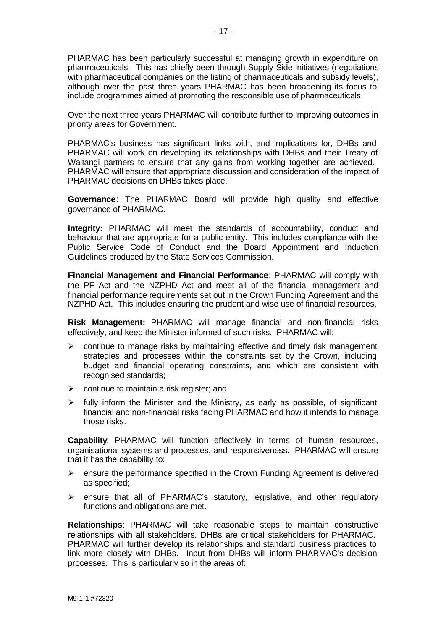PHARMAC has been particularly successful at managing growth in expenditure on pharmaceuticals. This has chiefly been through Supply Side initiatives (negotiations with pharmaceutical companies on the listing of pharmaceuticals and subsidy levels), although over the past three years PHARMAC has been broadening its focus to include programmes aimed at promoting the responsible use of pharmaceuticals.

Over the next three years PHARMAC will contribute further to improving outcomes in priority areas for Government.

PHARMAC's business has significant links with, and implications for, DHBs and PHARMAC will work on developing its relationships with DHBs and their Treaty of Waitangi partners to ensure that any gains from working together are achieved. PHARMAC will ensure that appropriate discussion and consideration of the impact of PHARMAC decisions on DHBs takes place.

**Governance**: The PHARMAC Board will provide high quality and effective governance of PHARMAC.

**Integrity:** PHARMAC will meet the standards of accountability, conduct and behaviour that are appropriate for a public entity. This includes compliance with the Public Service Code of Conduct and the Board Appointment and Induction Guidelines produced by the State Services Commission.

**Financial Management and Financial Performance**: PHARMAC will comply with the PF Act and the NZPHD Act and meet all of the financial management and financial performance requirements set out in the Crown Funding Agreement and the NZPHD Act. This includes ensuring the prudent and wise use of financial resources.

**Risk Management:** PHARMAC will manage financial and non-financial risks effectively, and keep the Minister informed of such risks. PHARMAC will:

- $\triangleright$  continue to manage risks by maintaining effective and timely risk management strategies and processes within the constraints set by the Crown, including budget and financial operating constraints, and which are consistent with recognised standards;
- $\triangleright$  continue to maintain a risk register; and
- $\triangleright$  fully inform the Minister and the Ministry, as early as possible, of significant financial and non-financial risks facing PHARMAC and how it intends to manage those risks.

**Capability**: PHARMAC will function effectively in terms of human resources, organisational systems and processes, and responsiveness. PHARMAC will ensure that it has the capability to:

- $\triangleright$  ensure the performance specified in the Crown Funding Agreement is delivered as specified;
- $\triangleright$  ensure that all of PHARMAC's statutory, legislative, and other regulatory functions and obligations are met.

**Relationships**: PHARMAC will take reasonable steps to maintain constructive relationships with all stakeholders. DHBs are critical stakeholders for PHARMAC. PHARMAC will further develop its relationships and standard business practices to link more closely with DHBs. Input from DHBs will inform PHARMAC's decision processes. This is particularly so in the areas of: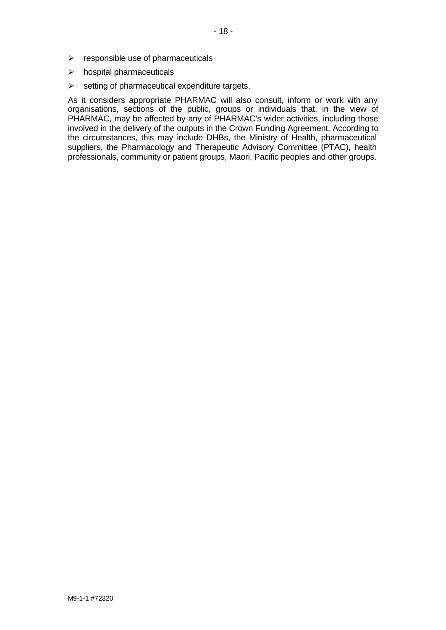- $\triangleright$  responsible use of pharmaceuticals
- $\triangleright$  hospital pharmaceuticals
- $\triangleright$  setting of pharmaceutical expenditure targets.

As it considers appropriate PHARMAC will also consult, inform or work with any organisations, sections of the public, groups or individuals that, in the view of PHARMAC, may be affected by any of PHARMAC's wider activities, including those involved in the delivery of the outputs in the Crown Funding Agreement. According to the circumstances, this may include DHBs, the Ministry of Health, pharmaceutical suppliers, the Pharmacology and Therapeutic Advisory Committee (PTAC), health professionals, community or patient groups, Maori, Pacific peoples and other groups.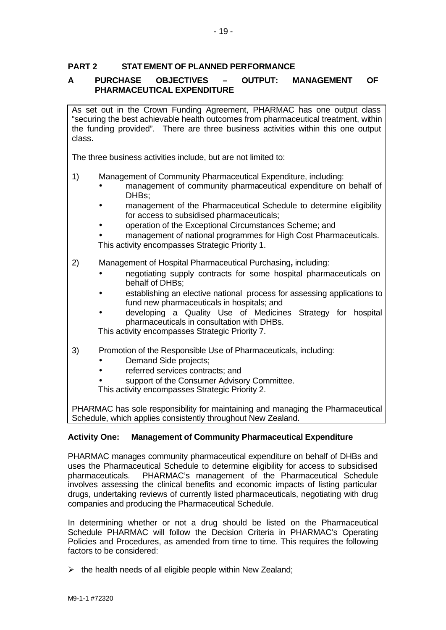# **PART 2 STATEMENT OF PLANNED PERFORMANCE**

# **A PURCHASE OBJECTIVES – OUTPUT: MANAGEMENT OF PHARMACEUTICAL EXPENDITURE**

As set out in the Crown Funding Agreement, PHARMAC has one output class "securing the best achievable health outcomes from pharmaceutical treatment, within the funding provided". There are three business activities within this one output class.

The three business activities include, but are not limited to:

- 1) Management of Community Pharmaceutical Expenditure, including:
	- management of community pharmaceutical expenditure on behalf of DHBs;
	- management of the Pharmaceutical Schedule to determine eligibility for access to subsidised pharmaceuticals;
	- operation of the Exceptional Circumstances Scheme; and
	- management of national programmes for High Cost Pharmaceuticals. This activity encompasses Strategic Priority 1.
- 2) Management of Hospital Pharmaceutical Purchasing**,** including:
	- negotiating supply contracts for some hospital pharmaceuticals on behalf of DHBs;
	- establishing an elective national process for assessing applications to fund new pharmaceuticals in hospitals; and
	- developing a Quality Use of Medicines Strategy for hospital pharmaceuticals in consultation with DHBs.

This activity encompasses Strategic Priority 7.

- 3) Promotion of the Responsible Use of Pharmaceuticals, including:
	- Demand Side projects;
	- referred services contracts; and
	- support of the Consumer Advisory Committee.

This activity encompasses Strategic Priority 2.

PHARMAC has sole responsibility for maintaining and managing the Pharmaceutical Schedule, which applies consistently throughout New Zealand.

# **Activity One: Management of Community Pharmaceutical Expenditure**

PHARMAC manages community pharmaceutical expenditure on behalf of DHBs and uses the Pharmaceutical Schedule to determine eligibility for access to subsidised pharmaceuticals. PHARMAC's management of the Pharmaceutical Schedule involves assessing the clinical benefits and economic impacts of listing particular drugs, undertaking reviews of currently listed pharmaceuticals, negotiating with drug companies and producing the Pharmaceutical Schedule.

In determining whether or not a drug should be listed on the Pharmaceutical Schedule PHARMAC will follow the Decision Criteria in PHARMAC's Operating Policies and Procedures, as amended from time to time. This requires the following factors to be considered:

 $\triangleright$  the health needs of all eligible people within New Zealand;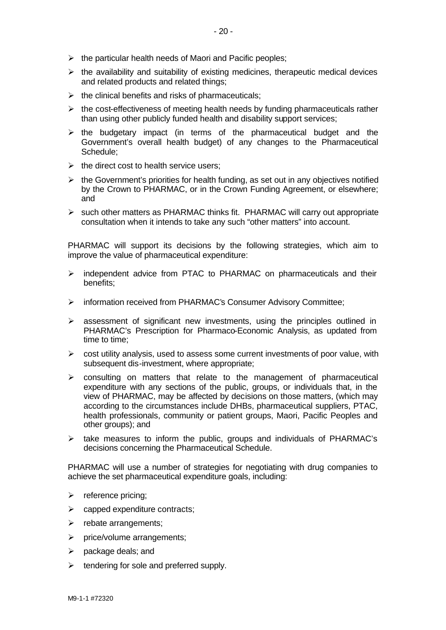- $\triangleright$  the particular health needs of Maori and Pacific peoples;
- $\triangleright$  the availability and suitability of existing medicines, therapeutic medical devices and related products and related things;
- $\triangleright$  the clinical benefits and risks of pharmaceuticals;
- $\triangleright$  the cost-effectiveness of meeting health needs by funding pharmaceuticals rather than using other publicly funded health and disability support services;
- $\triangleright$  the budgetary impact (in terms of the pharmaceutical budget and the Government's overall health budget) of any changes to the Pharmaceutical Schedule;
- $\triangleright$  the direct cost to health service users:
- $\triangleright$  the Government's priorities for health funding, as set out in any objectives notified by the Crown to PHARMAC, or in the Crown Funding Agreement, or elsewhere; and
- $\triangleright$  such other matters as PHARMAC thinks fit. PHARMAC will carry out appropriate consultation when it intends to take any such "other matters" into account.

PHARMAC will support its decisions by the following strategies, which aim to improve the value of pharmaceutical expenditure:

- $\triangleright$  independent advice from PTAC to PHARMAC on pharmaceuticals and their benefits;
- > information received from PHARMAC's Consumer Advisory Committee;
- $\geq$  assessment of significant new investments, using the principles outlined in PHARMAC's Prescription for Pharmaco-Economic Analysis, as updated from time to time;
- $\triangleright$  cost utility analysis, used to assess some current investments of poor value, with subsequent dis-investment, where appropriate;
- $\triangleright$  consulting on matters that relate to the management of pharmaceutical expenditure with any sections of the public, groups, or individuals that, in the view of PHARMAC, may be affected by decisions on those matters, (which may according to the circumstances include DHBs, pharmaceutical suppliers, PTAC, health professionals, community or patient groups, Maori, Pacific Peoples and other groups); and
- $\triangleright$  take measures to inform the public, groups and individuals of PHARMAC's decisions concerning the Pharmaceutical Schedule.

PHARMAC will use a number of strategies for negotiating with drug companies to achieve the set pharmaceutical expenditure goals, including:

- $\triangleright$  reference pricing;
- $\triangleright$  capped expenditure contracts;
- $\triangleright$  rebate arrangements;
- $\triangleright$  price/volume arrangements;
- $\triangleright$  package deals; and
- $\triangleright$  tendering for sole and preferred supply.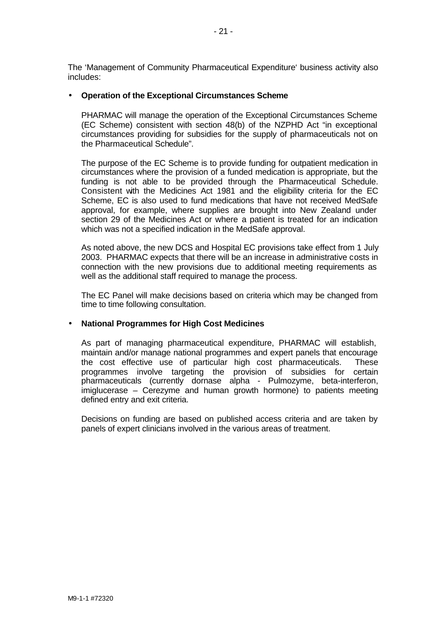The 'Management of Community Pharmaceutical Expenditure' business activity also includes:

#### • **Operation of the Exceptional Circumstances Scheme**

PHARMAC will manage the operation of the Exceptional Circumstances Scheme (EC Scheme) consistent with section 48(b) of the NZPHD Act "in exceptional circumstances providing for subsidies for the supply of pharmaceuticals not on the Pharmaceutical Schedule".

The purpose of the EC Scheme is to provide funding for outpatient medication in circumstances where the provision of a funded medication is appropriate, but the funding is not able to be provided through the Pharmaceutical Schedule. Consistent with the Medicines Act 1981 and the eligibility criteria for the EC Scheme, EC is also used to fund medications that have not received MedSafe approval, for example, where supplies are brought into New Zealand under section 29 of the Medicines Act or where a patient is treated for an indication which was not a specified indication in the MedSafe approval.

As noted above, the new DCS and Hospital EC provisions take effect from 1 July 2003. PHARMAC expects that there will be an increase in administrative costs in connection with the new provisions due to additional meeting requirements as well as the additional staff required to manage the process.

The EC Panel will make decisions based on criteria which may be changed from time to time following consultation.

#### • **National Programmes for High Cost Medicines**

As part of managing pharmaceutical expenditure, PHARMAC will establish, maintain and/or manage national programmes and expert panels that encourage the cost effective use of particular high cost pharmaceuticals. These programmes involve targeting the provision of subsidies for certain pharmaceuticals (currently dornase alpha - Pulmozyme, beta-interferon, imiglucerase – Cerezyme and human growth hormone) to patients meeting defined entry and exit criteria.

Decisions on funding are based on published access criteria and are taken by panels of expert clinicians involved in the various areas of treatment.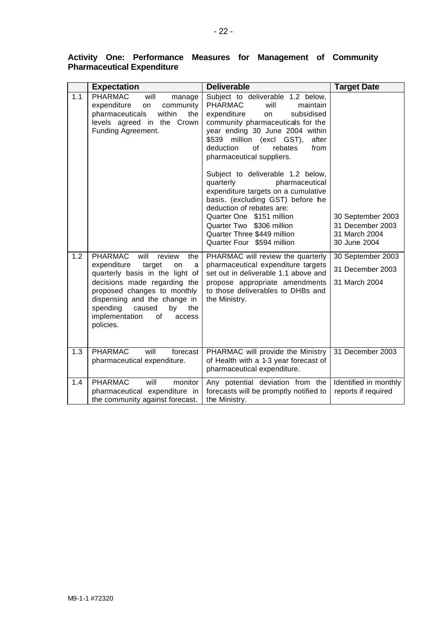|     | <b>Expectation</b>                                                                                                                                                                                                                                                                              | <b>Deliverable</b>                                                                                                                                                                                                                                                                                                                                                                                                                                                                                                                                                                                | <b>Target Date</b>                                                     |
|-----|-------------------------------------------------------------------------------------------------------------------------------------------------------------------------------------------------------------------------------------------------------------------------------------------------|---------------------------------------------------------------------------------------------------------------------------------------------------------------------------------------------------------------------------------------------------------------------------------------------------------------------------------------------------------------------------------------------------------------------------------------------------------------------------------------------------------------------------------------------------------------------------------------------------|------------------------------------------------------------------------|
| 1.1 | <b>PHARMAC</b><br>will<br>manage<br>expenditure<br>on<br>community<br>pharmaceuticals<br>within<br>the<br>levels agreed in the Crown<br>Funding Agreement.                                                                                                                                      | Subject to deliverable 1.2 below,<br><b>PHARMAC</b><br>will<br>maintain<br>subsidised<br>expenditure<br>on<br>community pharmaceuticals for the<br>year ending 30 June 2004 within<br>million (excl GST),<br>\$539<br>after<br>deduction<br>from<br>οf<br>rebates<br>pharmaceutical suppliers.<br>Subject to deliverable 1.2 below,<br>quarterly<br>pharmaceutical<br>expenditure targets on a cumulative<br>basis, (excluding GST) before he<br>deduction of rebates are:<br>Quarter One \$151 million<br>Quarter Two \$306 million<br>Quarter Three \$449 million<br>Quarter Four \$594 million | 30 September 2003<br>31 December 2003<br>31 March 2004<br>30 June 2004 |
| 1.2 | <b>PHARMAC</b><br>will<br>review<br>the<br>expenditure<br>target<br>on<br>a<br>quarterly basis in the light of<br>decisions made regarding the<br>proposed changes to monthly<br>dispensing and the change in<br>spending<br>caused<br>by<br>the<br>implementation<br>of<br>access<br>policies. | PHARMAC will review the quarterly<br>pharmaceutical expenditure targets<br>set out in deliverable 1.1 above and<br>propose appropriate amendments<br>to those deliverables to DHBs and<br>the Ministry.                                                                                                                                                                                                                                                                                                                                                                                           | 30 September 2003<br>31 December 2003<br>31 March 2004                 |
| 1.3 | <b>PHARMAC</b><br>will<br>forecast<br>pharmaceutical expenditure.                                                                                                                                                                                                                               | PHARMAC will provide the Ministry<br>of Health with a 1-3 year forecast of<br>pharmaceutical expenditure.                                                                                                                                                                                                                                                                                                                                                                                                                                                                                         | 31 December 2003                                                       |
| 1.4 | <b>PHARMAC</b><br>will<br>monitor<br>pharmaceutical expenditure in<br>the community against forecast.                                                                                                                                                                                           | Any potential deviation from the<br>forecasts will be promptly notified to<br>the Ministry.                                                                                                                                                                                                                                                                                                                                                                                                                                                                                                       | Identified in monthly<br>reports if required                           |

# **Activity One: Performance Measures for Management of Community Pharmaceutical Expenditure**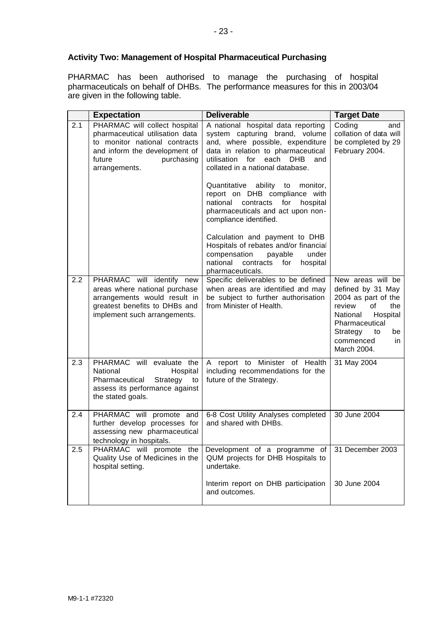# **Activity Two: Management of Hospital Pharmaceutical Purchasing**

PHARMAC has been authorised to manage the purchasing of hospital pharmaceuticals on behalf of DHBs. The performance measures for this in 2003/04 are given in the following table.

|     | <b>Expectation</b>                                                                                                                                                          | <b>Deliverable</b>                                                                                                                                                                                                              | <b>Target Date</b>                                                                                                                                                                        |
|-----|-----------------------------------------------------------------------------------------------------------------------------------------------------------------------------|---------------------------------------------------------------------------------------------------------------------------------------------------------------------------------------------------------------------------------|-------------------------------------------------------------------------------------------------------------------------------------------------------------------------------------------|
| 2.1 | PHARMAC will collect hospital<br>pharmaceutical utilisation data<br>to monitor national contracts<br>and inform the development of<br>future<br>purchasing<br>arrangements. | A national hospital data reporting<br>system capturing brand, volume<br>and, where possible, expenditure<br>data in relation to pharmaceutical<br>utilisation for each<br><b>DHB</b><br>and<br>collated in a national database. | Coding<br>and<br>collation of data will<br>be completed by 29<br>February 2004.                                                                                                           |
|     |                                                                                                                                                                             | Quantitative ability to<br>monitor,<br>report on DHB compliance with<br>national<br>contracts<br>for<br>hospital<br>pharmaceuticals and act upon non-<br>compliance identified.                                                 |                                                                                                                                                                                           |
|     |                                                                                                                                                                             | Calculation and payment to DHB<br>Hospitals of rebates and/or financial<br>compensation<br>payable<br>under<br>national<br>contracts<br>for<br>hospital<br>pharmaceuticals.                                                     |                                                                                                                                                                                           |
| 2.2 | PHARMAC will identify new<br>areas where national purchase<br>arrangements would result in<br>greatest benefits to DHBs and<br>implement such arrangements.                 | Specific deliverables to be defined<br>when areas are identified and may<br>be subject to further authorisation<br>from Minister of Health.                                                                                     | New areas will be<br>defined by 31 May<br>2004 as part of the<br>of<br>the<br>review<br>Hospital<br>National<br>Pharmaceutical<br>Strategy<br>to<br>be<br>commenced<br>in.<br>March 2004. |
| 2.3 | PHARMAC will evaluate the<br>National<br>Hospital<br>Pharmaceutical<br>Strategy<br>to<br>assess its performance against<br>the stated goals.                                | A report to Minister of Health<br>including recommendations for the<br>future of the Strategy.                                                                                                                                  | 31 May 2004                                                                                                                                                                               |
| 2.4 | PHARMAC will promote and<br>further develop processes for<br>assessing new pharmaceutical<br>technology in hospitals.                                                       | 6-8 Cost Utility Analyses completed<br>and shared with DHBs.                                                                                                                                                                    | 30 June 2004                                                                                                                                                                              |
| 2.5 | PHARMAC will promote the<br>Quality Use of Medicines in the<br>hospital setting.                                                                                            | Development of a programme of<br>QUM projects for DHB Hospitals to<br>undertake.                                                                                                                                                | 31 December 2003                                                                                                                                                                          |
|     |                                                                                                                                                                             | Interim report on DHB participation<br>and outcomes.                                                                                                                                                                            | 30 June 2004                                                                                                                                                                              |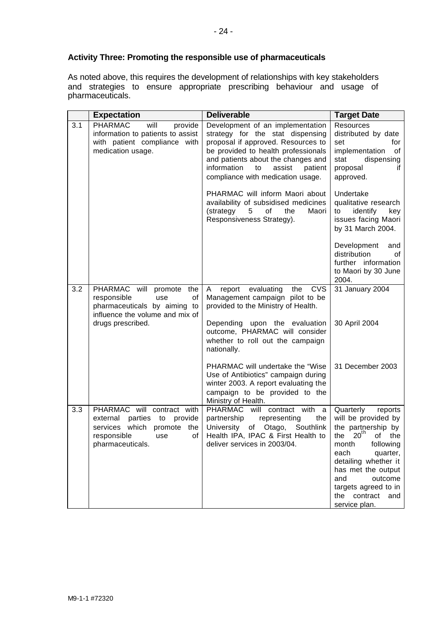# **Activity Three: Promoting the responsible use of pharmaceuticals**

As noted above, this requires the development of relationships with key stakeholders and strategies to ensure appropriate prescribing behaviour and usage of pharmaceuticals.

|     | <b>Expectation</b>                                                                                                                                  | <b>Deliverable</b>                                                                                                                                                                                                                                                     | <b>Target Date</b>                                                                                                                                                                                                                                                               |
|-----|-----------------------------------------------------------------------------------------------------------------------------------------------------|------------------------------------------------------------------------------------------------------------------------------------------------------------------------------------------------------------------------------------------------------------------------|----------------------------------------------------------------------------------------------------------------------------------------------------------------------------------------------------------------------------------------------------------------------------------|
| 3.1 | <b>PHARMAC</b><br>will<br>provide<br>information to patients to assist<br>with patient compliance with<br>medication usage.                         | Development of an implementation<br>strategy for the stat dispensing<br>proposal if approved. Resources to<br>be provided to health professionals<br>and patients about the changes and<br>information<br>to<br>assist<br>patient<br>compliance with medication usage. | <b>Resources</b><br>distributed by date<br>set<br>for<br>implementation<br>οf<br>dispensing<br>stat<br>proposal<br>if<br>approved.                                                                                                                                               |
|     |                                                                                                                                                     | PHARMAC will inform Maori about<br>availability of subsidised medicines<br>(strategy<br>5<br>of<br>the<br>Maori<br>Responsiveness Strategy).                                                                                                                           | Undertake<br>qualitative research<br>to<br>identify<br>key<br>issues facing Maori<br>by 31 March 2004.                                                                                                                                                                           |
|     |                                                                                                                                                     |                                                                                                                                                                                                                                                                        | Development<br>and<br>distribution<br>οf<br>further information<br>to Maori by 30 June<br>2004.                                                                                                                                                                                  |
| 3.2 | PHARMAC will<br>promote<br>the<br>responsible<br>of<br>use<br>pharmaceuticals by aiming to<br>influence the volume and mix of                       | evaluating<br><b>CVS</b><br>A<br>report<br>the<br>Management campaign pilot to be<br>provided to the Ministry of Health.                                                                                                                                               | 31 January 2004                                                                                                                                                                                                                                                                  |
|     | drugs prescribed.                                                                                                                                   | Depending upon the evaluation<br>outcome, PHARMAC will consider<br>whether to roll out the campaign<br>nationally.                                                                                                                                                     | 30 April 2004                                                                                                                                                                                                                                                                    |
|     |                                                                                                                                                     | PHARMAC will undertake the "Wise<br>Use of Antibiotics" campaign during<br>winter 2003. A report evaluating the<br>campaign to be provided to the<br>Ministry of Health.                                                                                               | 31 December 2003                                                                                                                                                                                                                                                                 |
| 3.3 | PHARMAC will contract with<br>external<br>parties to<br>provide<br>services which<br>promote<br>the<br>responsible<br>of<br>use<br>pharmaceuticals. | PHARMAC will contract with<br>a<br>partnership<br>representing<br>the<br>University<br>of Otago,<br>Southlink<br>Health IPA, IPAC & First Health to<br>deliver services in 2003/04.                                                                                    | Quarterly<br>reports<br>will be provided by<br>the partnership by<br>20 <sup>th</sup><br>the<br>the<br>of<br>month<br>following<br>quarter,<br>each<br>detailing whether it<br>has met the output<br>outcome<br>and<br>targets agreed to in<br>the contract and<br>service plan. |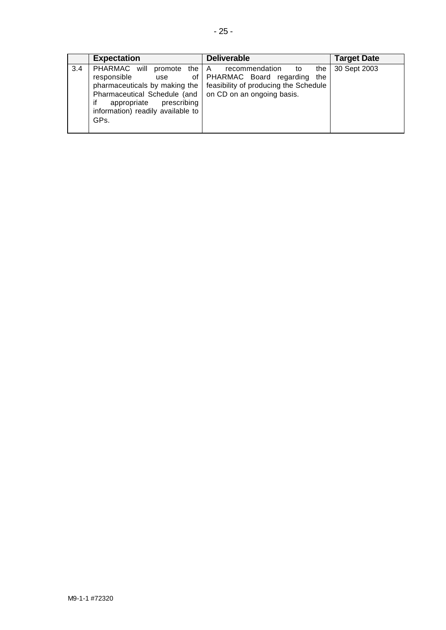|     | <b>Expectation</b>                                                                                                                                                                                          | <b>Deliverable</b>                                                                                                                | <b>Target Date</b> |
|-----|-------------------------------------------------------------------------------------------------------------------------------------------------------------------------------------------------------------|-----------------------------------------------------------------------------------------------------------------------------------|--------------------|
| 3.4 | PHARMAC will<br>promote the A<br>responsible<br>0f<br>use<br>pharmaceuticals by making the<br>Pharmaceutical Schedule (and<br>appropriate<br>prescribing<br>if<br>information) readily available to<br>GPs. | recommendation to<br>the<br>PHARMAC Board regarding<br>the<br>feasibility of producing the Schedule<br>on CD on an ongoing basis. | 30 Sept 2003       |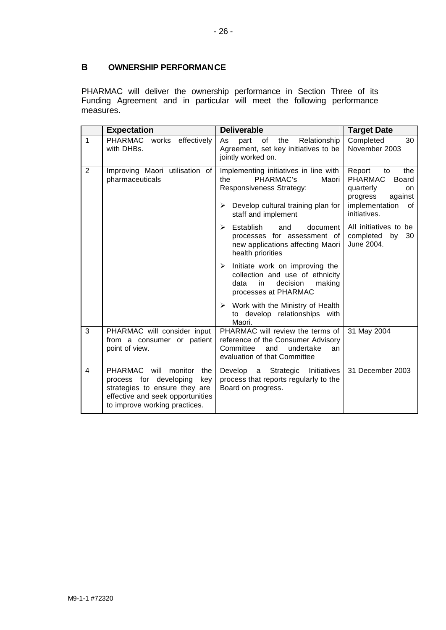# **B OWNERSHIP PERFORMANCE**

PHARMAC will deliver the ownership performance in Section Three of its Funding Agreement and in particular will meet the following performance measures.

|                | <b>Expectation</b>                                                                                                                                                    | <b>Deliverable</b>                                                                                                                                               | <b>Target Date</b>                                                                                                                      |
|----------------|-----------------------------------------------------------------------------------------------------------------------------------------------------------------------|------------------------------------------------------------------------------------------------------------------------------------------------------------------|-----------------------------------------------------------------------------------------------------------------------------------------|
| $\overline{1}$ | PHARMAC<br>works<br>effectively<br>with DHBs.                                                                                                                         | the<br>As<br>part<br>of<br>Relationship<br>Agreement, set key initiatives to be<br>jointly worked on.                                                            | Completed<br>30<br>November 2003                                                                                                        |
| $\overline{2}$ | Improving Maori utilisation of<br>pharmaceuticals                                                                                                                     | Implementing initiatives in line with<br>the<br>PHARMAC's<br>Maori<br>Responsiveness Strategy:<br>Develop cultural training plan for<br>➤<br>staff and implement | Report<br>the<br>to<br><b>PHARMAC</b><br><b>Board</b><br>quarterly<br>on<br>against<br>progress<br>implementation<br>0f<br>initiatives. |
|                |                                                                                                                                                                       | Establish<br>and<br>document<br>↘<br>processes for assessment of<br>new applications affecting Maori<br>health priorities                                        | All initiatives to be<br>completed by<br>30<br>June 2004.                                                                               |
|                |                                                                                                                                                                       | Initiate work on improving the<br>≻<br>collection and use of ethnicity<br>making<br>data<br>in<br>decision<br>processes at PHARMAC                               |                                                                                                                                         |
|                |                                                                                                                                                                       | Work with the Ministry of Health<br>$\blacktriangleright$<br>to develop relationships with<br>Maori.                                                             |                                                                                                                                         |
| 3              | PHARMAC will consider input<br>from a consumer or patient<br>point of view.                                                                                           | PHARMAC will review the terms of<br>reference of the Consumer Advisory<br>Committee<br>and<br>undertake<br>an<br>evaluation of that Committee                    | 31 May 2004                                                                                                                             |
| 4              | PHARMAC will<br>monitor<br>the<br>process for developing<br>key<br>strategies to ensure they are<br>effective and seek opportunities<br>to improve working practices. | Develop<br>Strategic<br>Initiatives<br>a<br>process that reports regularly to the<br>Board on progress.                                                          | 31 December 2003                                                                                                                        |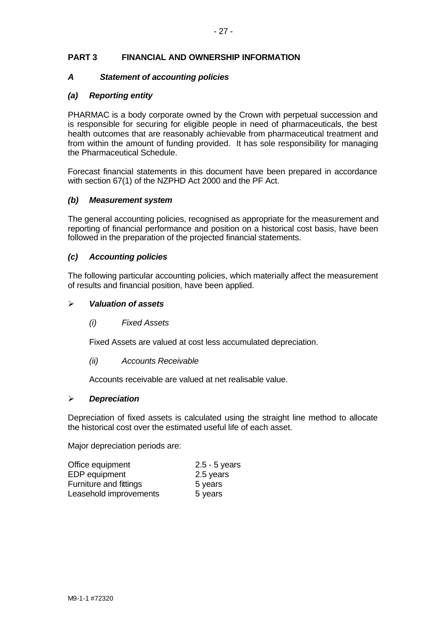# **PART 3 FINANCIAL AND OWNERSHIP INFORMATION**

#### *A Statement of accounting policies*

#### *(a) Reporting entity*

PHARMAC is a body corporate owned by the Crown with perpetual succession and is responsible for securing for eligible people in need of pharmaceuticals, the best health outcomes that are reasonably achievable from pharmaceutical treatment and from within the amount of funding provided. It has sole responsibility for managing the Pharmaceutical Schedule.

Forecast financial statements in this document have been prepared in accordance with section 67(1) of the NZPHD Act 2000 and the PF Act.

#### *(b) Measurement system*

The general accounting policies, recognised as appropriate for the measurement and reporting of financial performance and position on a historical cost basis, have been followed in the preparation of the projected financial statements.

#### *(c) Accounting policies*

The following particular accounting policies, which materially affect the measurement of results and financial position, have been applied.

#### ÿ *Valuation of assets*

*(i) Fixed Assets*

Fixed Assets are valued at cost less accumulated depreciation.

*(ii) Accounts Receivable*

Accounts receivable are valued at net realisable value.

#### ÿ *Depreciation*

Depreciation of fixed assets is calculated using the straight line method to allocate the historical cost over the estimated useful life of each asset.

Major depreciation periods are:

| Office equipment       | $2.5 - 5$ years |
|------------------------|-----------------|
| EDP equipment          | 2.5 years       |
| Furniture and fittings | 5 years         |
| Leasehold improvements | 5 years         |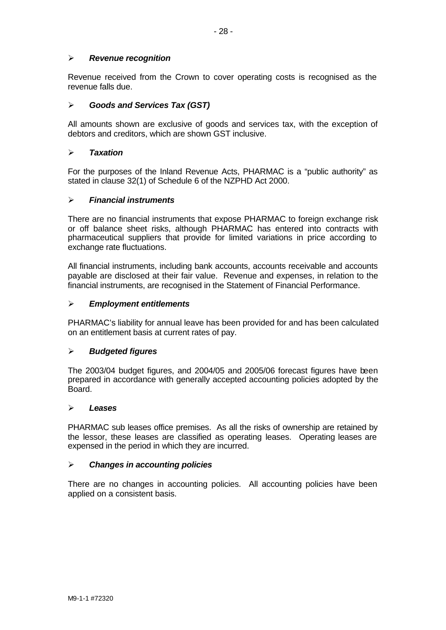# ÿ *Revenue recognition*

Revenue received from the Crown to cover operating costs is recognised as the revenue falls due.

# ÿ *Goods and Services Tax (GST)*

All amounts shown are exclusive of goods and services tax, with the exception of debtors and creditors, which are shown GST inclusive.

#### ÿ *Taxation*

For the purposes of the Inland Revenue Acts, PHARMAC is a "public authority" as stated in clause 32(1) of Schedule 6 of the NZPHD Act 2000.

# ÿ *Financial instruments*

There are no financial instruments that expose PHARMAC to foreign exchange risk or off balance sheet risks, although PHARMAC has entered into contracts with pharmaceutical suppliers that provide for limited variations in price according to exchange rate fluctuations.

All financial instruments, including bank accounts, accounts receivable and accounts payable are disclosed at their fair value. Revenue and expenses, in relation to the financial instruments, are recognised in the Statement of Financial Performance.

#### ÿ *Employment entitlements*

PHARMAC's liability for annual leave has been provided for and has been calculated on an entitlement basis at current rates of pay.

# ÿ *Budgeted figures*

The 2003/04 budget figures, and 2004/05 and 2005/06 forecast figures have been prepared in accordance with generally accepted accounting policies adopted by the Board.

#### ÿ *Leases*

PHARMAC sub leases office premises. As all the risks of ownership are retained by the lessor, these leases are classified as operating leases. Operating leases are expensed in the period in which they are incurred.

#### ÿ *Changes in accounting policies*

There are no changes in accounting policies. All accounting policies have been applied on a consistent basis.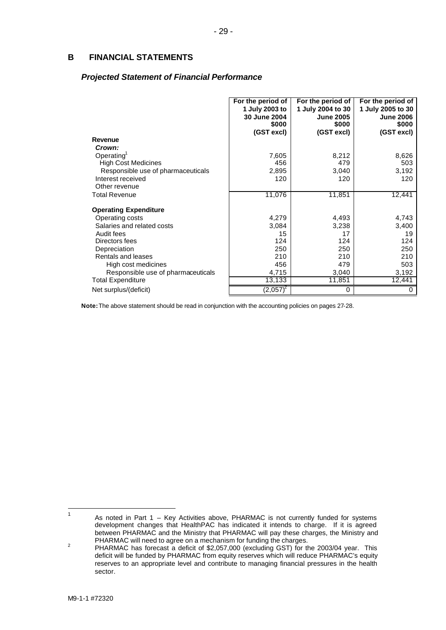## **B FINANCIAL STATEMENTS**

#### *Projected Statement of Financial Performance*

|                                    | For the period of<br>1 July 2003 to<br>30 June 2004<br>\$000<br>(GST excl) | For the period of<br>1 July 2004 to 30<br><b>June 2005</b><br>\$000<br>(GST excl) | For the period of<br>1 July 2005 to 30<br><b>June 2006</b><br>\$000<br>(GST excl) |
|------------------------------------|----------------------------------------------------------------------------|-----------------------------------------------------------------------------------|-----------------------------------------------------------------------------------|
| Revenue                            |                                                                            |                                                                                   |                                                                                   |
| Crown:                             |                                                                            |                                                                                   |                                                                                   |
| Operating <sup>1</sup>             | 7,605                                                                      | 8,212                                                                             | 8,626                                                                             |
| <b>High Cost Medicines</b>         | 456                                                                        | 479                                                                               | 503                                                                               |
| Responsible use of pharmaceuticals | 2,895                                                                      | 3,040                                                                             | 3,192                                                                             |
| Interest received                  | 120                                                                        | 120                                                                               | 120                                                                               |
| Other revenue                      |                                                                            |                                                                                   |                                                                                   |
| <b>Total Revenue</b>               | 11,076                                                                     | 11,851                                                                            | 12,441                                                                            |
| <b>Operating Expenditure</b>       |                                                                            |                                                                                   |                                                                                   |
| Operating costs                    | 4,279                                                                      | 4,493                                                                             | 4,743                                                                             |
| Salaries and related costs         | 3,084                                                                      | 3,238                                                                             | 3,400                                                                             |
| Audit fees                         | 15                                                                         | 17                                                                                | 19                                                                                |
| Directors fees                     | 124                                                                        | 124                                                                               | 124                                                                               |
| Depreciation                       | 250                                                                        | 250                                                                               | 250                                                                               |
| Rentals and leases                 | 210                                                                        | 210                                                                               | 210                                                                               |
| High cost medicines                | 456                                                                        | 479                                                                               | 503                                                                               |
| Responsible use of pharmaceuticals | 4,715                                                                      | 3,040                                                                             | 3,192                                                                             |
| <b>Total Expenditure</b>           | 13,133                                                                     | 11,851                                                                            | 12,441                                                                            |
| Net surplus/(deficit)              | $(2,057)^2$                                                                | 0                                                                                 | 0                                                                                 |

**Note:** The above statement should be read in conjunction with the accounting policies on pages 27-28.

 $\overline{1}$ As noted in Part 1 – Key Activities above, PHARMAC is not currently funded for systems development changes that HealthPAC has indicated it intends to charge. If it is agreed between PHARMAC and the Ministry that PHARMAC will pay these charges, the Ministry and PHARMAC will need to agree on a mechanism for funding the charges.

<sup>&</sup>lt;sup>2</sup> PHARMAC has forecast a deficit of \$2,057,000 (excluding GST) for the 2003/04 year. This deficit will be funded by PHARMAC from equity reserves which will reduce PHARMAC's equity reserves to an appropriate level and contribute to managing financial pressures in the health sector.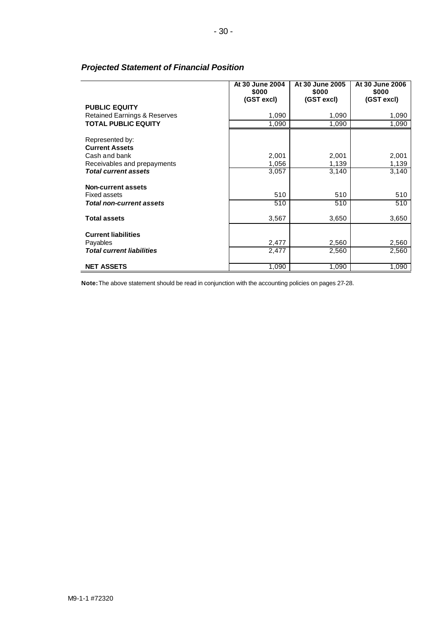|                                           | At 30 June 2004<br>\$000<br>(GST excl) | At 30 June 2005<br>\$000<br>(GST excl) | At 30 June 2006<br>\$000<br>(GST excl) |
|-------------------------------------------|----------------------------------------|----------------------------------------|----------------------------------------|
| <b>PUBLIC EQUITY</b>                      |                                        |                                        |                                        |
| <b>Retained Earnings &amp; Reserves</b>   | 1,090                                  | 1,090                                  | 1,090                                  |
| <b>TOTAL PUBLIC EQUITY</b>                | 1,090                                  | 1,090                                  | 1,090                                  |
| Represented by:<br><b>Current Assets</b>  |                                        |                                        |                                        |
| Cash and bank                             | 2,001                                  | 2,001                                  | 2,001                                  |
| Receivables and prepayments               | 1,056                                  | 1,139                                  | 1,139                                  |
| <b>Total current assets</b>               | 3,057                                  | 3,140                                  | 3,140                                  |
|                                           |                                        |                                        |                                        |
| Non-current assets<br><b>Fixed assets</b> | 510                                    | 510                                    | 510                                    |
| <b>Total non-current assets</b>           | 510                                    | 510                                    | 510                                    |
|                                           |                                        |                                        |                                        |
| <b>Total assets</b>                       | 3,567                                  | 3,650                                  | 3,650                                  |
| <b>Current liabilities</b>                |                                        |                                        |                                        |
| Payables                                  | 2,477                                  | 2,560                                  | 2,560                                  |
| <b>Total current liabilities</b>          | 2,477                                  | 2,560                                  | 2,560                                  |
| <b>NET ASSETS</b>                         | 1,090                                  | 1,090                                  | 1,090                                  |

# *Projected Statement of Financial Position*

**Note:** The above statement should be read in conjunction with the accounting policies on pages 27-28.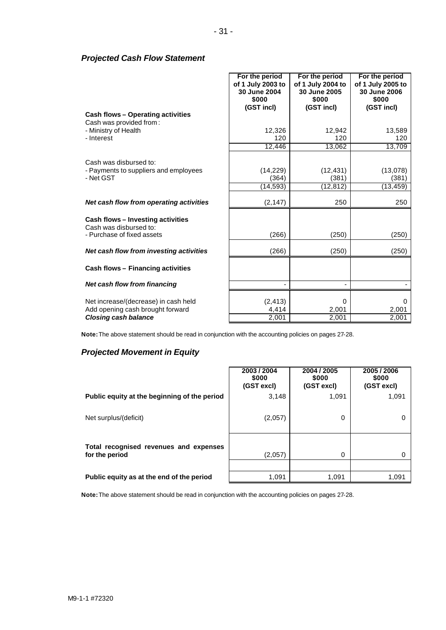## *Projected Cash Flow Statement*

|                                                                          | For the period<br>of 1 July 2003 to<br>30 June 2004<br>\$000<br>(GST incl) | For the period<br>of 1 July 2004 to<br>30 June 2005<br>\$000<br>(GST incl) | For the period<br>of 1 July 2005 to<br>30 June 2006<br>\$000<br>(GST incl) |
|--------------------------------------------------------------------------|----------------------------------------------------------------------------|----------------------------------------------------------------------------|----------------------------------------------------------------------------|
| <b>Cash flows - Operating activities</b>                                 |                                                                            |                                                                            |                                                                            |
| Cash was provided from:                                                  |                                                                            |                                                                            |                                                                            |
| - Ministry of Health                                                     | 12,326                                                                     | 12,942                                                                     | 13,589                                                                     |
| - Interest                                                               | 120                                                                        | 120                                                                        | 120                                                                        |
|                                                                          | 12,446                                                                     | 13,062                                                                     | 13,709                                                                     |
|                                                                          |                                                                            |                                                                            |                                                                            |
| Cash was disbursed to:                                                   |                                                                            |                                                                            |                                                                            |
| - Payments to suppliers and employees                                    | (14, 229)                                                                  | (12, 431)                                                                  | (13,078)                                                                   |
| - Net GST                                                                | (364)                                                                      | (381)                                                                      | (381)                                                                      |
|                                                                          | (14,593)                                                                   | (12,812)                                                                   | (13, 459)                                                                  |
| Net cash flow from operating activities                                  | (2, 147)                                                                   | 250                                                                        | 250                                                                        |
| <b>Cash flows - Investing activities</b><br>Cash was disbursed to:       |                                                                            |                                                                            |                                                                            |
| - Purchase of fixed assets                                               | (266)                                                                      | (250)                                                                      | (250)                                                                      |
| Net cash flow from investing activities                                  | (266)                                                                      | (250)                                                                      | (250)                                                                      |
| Cash flows - Financing activities                                        |                                                                            |                                                                            |                                                                            |
| Net cash flow from financing                                             |                                                                            |                                                                            |                                                                            |
| Net increase/(decrease) in cash held<br>Add opening cash brought forward | (2, 413)<br>4,414                                                          | 0<br>2,001                                                                 | 0<br>2,001                                                                 |
| <b>Closing cash balance</b>                                              | 2,001                                                                      | 2,001                                                                      | 2,001                                                                      |

**Note:** The above statement should be read in conjunction with the accounting policies on pages 27-28.

# *Projected Movement in Equity*

|                                                          | 2003 / 2004<br>\$000<br>(GST excl) | 2004 / 2005<br>\$000<br>(GST excl) | 2005 / 2006<br>\$000<br>(GST excl) |
|----------------------------------------------------------|------------------------------------|------------------------------------|------------------------------------|
| Public equity at the beginning of the period             | 3,148                              | 1,091                              | 1,091                              |
| Net surplus/(deficit)                                    | (2,057)                            | $\Omega$                           | $\Omega$                           |
| Total recognised revenues and expenses<br>for the period | (2,057)                            | 0                                  | $\Omega$                           |
|                                                          |                                    |                                    |                                    |
| Public equity as at the end of the period                | 1,091                              | 1,091                              | 1,091                              |

**Note:** The above statement should be read in conjunction with the accounting policies on pages 27-28.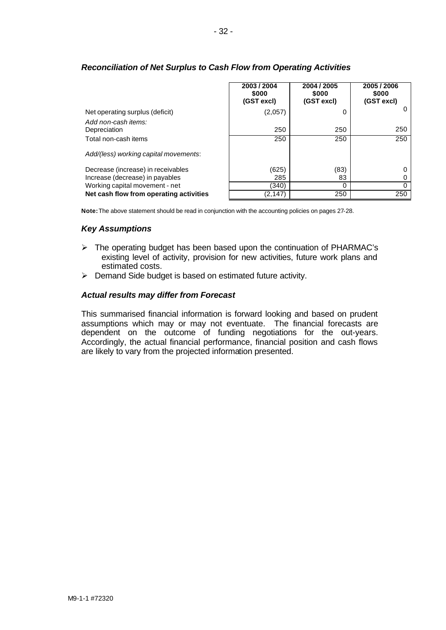|                                         | 2003 / 2004<br>\$000<br>(GST excl) | 2004 / 2005<br>\$000<br>(GST excl) | 2005/2006<br>\$000<br>(GST excl) |
|-----------------------------------------|------------------------------------|------------------------------------|----------------------------------|
| Net operating surplus (deficit)         | (2,057)                            |                                    |                                  |
| Add non-cash items:<br>Depreciation     | 250                                | 250                                | 250                              |
| Total non-cash items                    | 250                                | 250                                | 250                              |
| Add/(less) working capital movements:   |                                    |                                    |                                  |
| Decrease (increase) in receivables      | (625)                              | (83)                               |                                  |
| Increase (decrease) in payables         | 285                                | 83                                 |                                  |
| Working capital movement - net          | (340)                              | ŋ                                  |                                  |
| Net cash flow from operating activities | (2,147)                            | 250                                | 250                              |

# *Reconciliation of Net Surplus to Cash Flow from Operating Activities*

**Note:** The above statement should be read in conjunction with the accounting policies on pages 27-28.

#### *Key Assumptions*

- $\triangleright$  The operating budget has been based upon the continuation of PHARMAC's existing level of activity, provision for new activities, future work plans and estimated costs.
- $\triangleright$  Demand Side budget is based on estimated future activity.

#### *Actual results may differ from Forecast*

This summarised financial information is forward looking and based on prudent assumptions which may or may not eventuate. The financial forecasts are dependent on the outcome of funding negotiations for the out-years. Accordingly, the actual financial performance, financial position and cash flows are likely to vary from the projected information presented.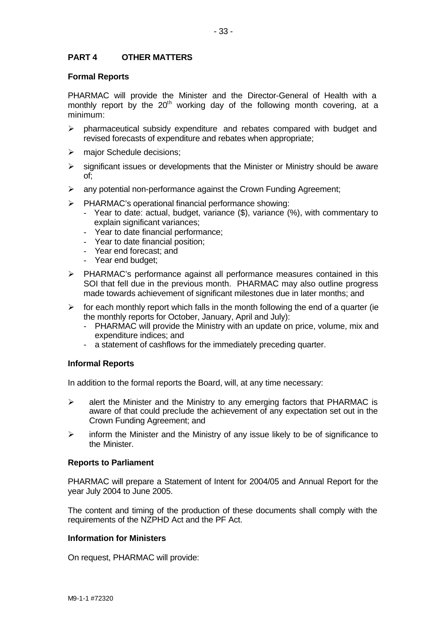#### **Formal Reports**

PHARMAC will provide the Minister and the Director-General of Health with a monthly report by the  $20<sup>th</sup>$  working day of the following month covering, at a minimum:

- $\triangleright$  pharmaceutical subsidy expenditure and rebates compared with budget and revised forecasts of expenditure and rebates when appropriate;
- $\triangleright$  major Schedule decisions;
- $\triangleright$  significant issues or developments that the Minister or Ministry should be aware of;
- $\triangleright$  any potential non-performance against the Crown Funding Agreement;
- ÿ PHARMAC's operational financial performance showing:
	- Year to date: actual, budget, variance (\$), variance (%), with commentary to explain significant variances;
	- Year to date financial performance;
	- Year to date financial position;
	- Year end forecast; and
	- Year end budget;
- $\triangleright$  PHARMAC's performance against all performance measures contained in this SOI that fell due in the previous month. PHARMAC may also outline progress made towards achievement of significant milestones due in later months; and
- $\triangleright$  for each monthly report which falls in the month following the end of a quarter (ie the monthly reports for October, January, April and July):
	- PHARMAC will provide the Ministry with an update on price, volume, mix and expenditure indices; and
	- a statement of cashflows for the immediately preceding quarter.

# **Informal Reports**

In addition to the formal reports the Board, will, at any time necessary:

- $\triangleright$  alert the Minister and the Ministry to any emerging factors that PHARMAC is aware of that could preclude the achievement of any expectation set out in the Crown Funding Agreement; and
- $\triangleright$  inform the Minister and the Ministry of any issue likely to be of significance to the Minister.

#### **Reports to Parliament**

PHARMAC will prepare a Statement of Intent for 2004/05 and Annual Report for the year July 2004 to June 2005.

The content and timing of the production of these documents shall comply with the requirements of the NZPHD Act and the PF Act.

#### **Information for Ministers**

On request, PHARMAC will provide: